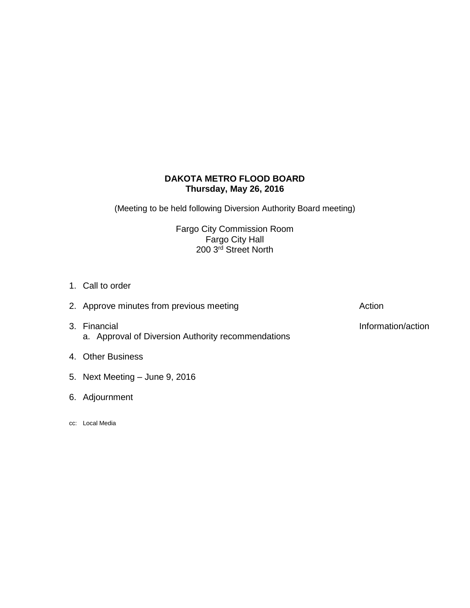# **DAKOTA METRO FLOOD BOARD Thursday, May 26, 2016**

(Meeting to be held following Diversion Authority Board meeting)

Fargo City Commission Room Fargo City Hall 200 3<sup>rd</sup> Street North

- 1. Call to order
- 3. Financial **Information/action** a. Approval of Diversion Authority recommendations
- 4. Other Business
- 5. Next Meeting June 9, 2016
- 6. Adjournment
- cc: Local Media

2. Approve minutes from previous meeting and action action Action